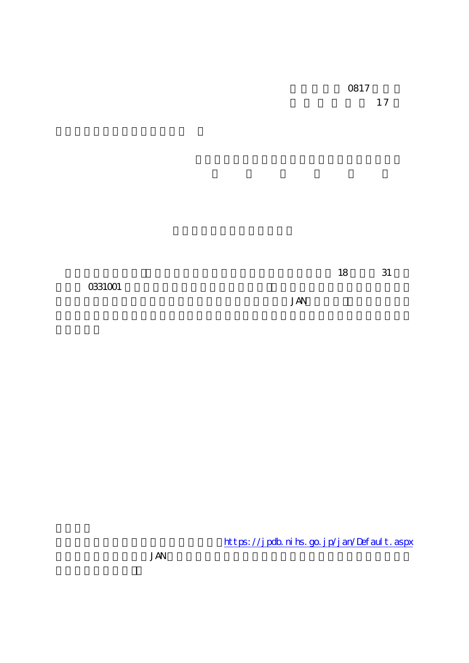0817 1 7

18 31

0331001

JAN

https://jpdb.nihs.go.jp/jan/Default.aspx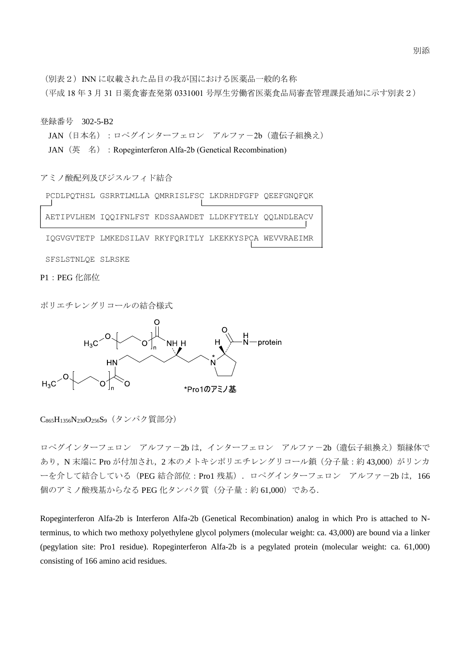(別表2) INN に収載された品目の我が国における医薬品一般的名称

(平成 18 年 3 月 31 日薬食審査発第 0331001 号厚生労働省医薬食品局審査管理課長通知に示す別表2)

登録番号 302-5-B2

JAN (日本名):ロペグインターフェロン アルファー2b (遺伝子組換え)

JAN (英名): Ropeginterferon Alfa-2b (Genetical Recombination)

アミノ酸配列及びジスルフィド結合

PCDLPQTHSL GSRRTLMLLA QMRRISLFSC LKDRHDFGFP QEEFGNQFQK

AETIPVLHEM IQQIFNLFST KDSSAAWDET LLDKFYTELY QQLNDLEACV IQGVGVTETP LMKEDSILAV RKYFQRITLY LKEKKYSPCA WEVVRAEIMR

SFSLSTNLQE SLRSKE

P1:PEG 化部位

ポリエチレングリコールの結合様式



C<sub>865</sub>H<sub>1356</sub>N<sub>230</sub>O<sub>256</sub>S<sub>9</sub> (タンパク質部分)

ロペグインターフェロン アルファー2b は、インターフェロン アルファー2b (遺伝子組換え) 類縁体で あり, N 末端に Pro が付加され, 2 本のメトキシポリエチレングリコール鎖(分子量:約43,000)がリンカ ーを介して結合している (PEG 結合部位: Pro1 残基). ロペグインターフェロン アルファー2b は, 166 個のアミノ酸残基からなる PEG 化タンパク質(分子量:約 61,000)である.

Ropeginterferon Alfa-2b is Interferon Alfa-2b (Genetical Recombination) analog in which Pro is attached to Nterminus, to which two methoxy polyethylene glycol polymers (molecular weight: ca. 43,000) are bound via a linker (pegylation site: Pro1 residue). Ropeginterferon Alfa-2b is a pegylated protein (molecular weight: ca. 61,000) consisting of 166 amino acid residues.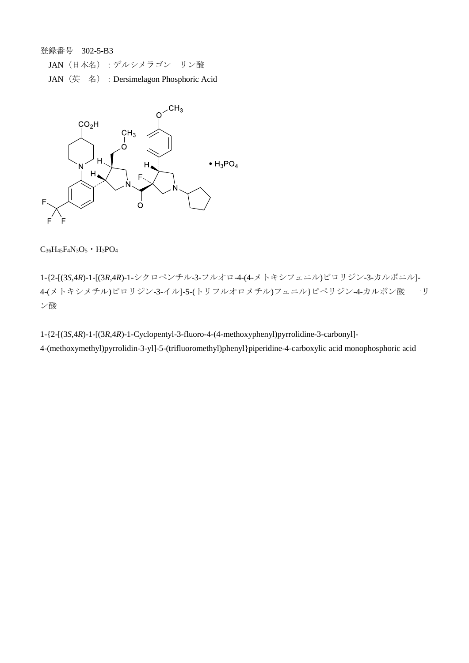JAN(日本名):デルシメラゴン リン酸

JAN(英 名):Dersimelagon Phosphoric Acid



 $C_{36}H_{45}F_{4}N_{3}O_{5}$  •  $H_{3}PO_{4}$ 

1-{2-[(3*S*,4*R*)-1-[(3*R*,4*R*)-1-シクロペンチル-3-フルオロ-4-(4-メトキシフェニル)ピロリジン-3-カルボニル]- 4-(メトキシメチル)ピロリジン-3-イル]-5-(トリフルオロメチル)フェニル}ピペリジン-4-カルボン酸 一リ ン酸

1-{2-[(3*S*,4*R*)-1-[(3*R*,4*R*)-1-Cyclopentyl-3-fluoro-4-(4-methoxyphenyl)pyrrolidine-3-carbonyl]- 4-(methoxymethyl)pyrrolidin-3-yl]-5-(trifluoromethyl)phenyl}piperidine-4-carboxylic acid monophosphoric acid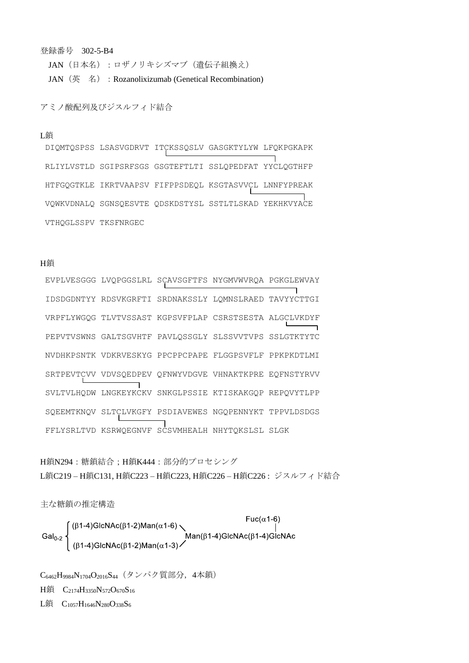JAN (日本名):ロザノリキシズマブ (遺伝子組換え) JAN (英 名) : Rozanolixizumab (Genetical Recombination)

アミノ酸配列及びジスルフィド結合

#### L鎖

DIQMTQSPSS LSASVGDRVT ITCKSSQSLV GASGKTYLYW LFQKPGKAPK RLIYLVSTLD SGIPSRFSGS GSGTEFTLTI SSLQPEDFAT YYCLQGTHFP HTFGQGTKLE IKRTVAAPSV FIFPPSDEQL KSGTASVVCL LNNFYPREAK VQWKVDNALQ SGNSQESVTE QDSKDSTYSL SSTLTLSKAD YEKHKVYACE VTHQGLSSPV TKSFNRGEC

## H鎖

EVPLVESGGG LVQPGGSLRL SCAVSGFTFS NYGMVWVRQA PGKGLEWVAY IDSDGDNTYY RDSVKGRFTI SRDNAKSSLY LQMNSLRAED TAVYYCTTGI VRPFLYWGQG TLVTVSSAST KGPSVFPLAP CSRSTSESTA ALGCLVKDYF PEPVTVSWNS GALTSGVHTF PAVLQSSGLY SLSSVVTVPS SSLGTKTYTC NVDHKPSNTK VDKRVESKYG PPCPPCPAPE FLGGPSVFLF PPKPKDTLMI SRTPEVTCVV VDVSQEDPEV QFNWYVDGVE VHNAKTKPRE EQFNSTYRVV SVLTVLHQDW LNGKEYKCKV SNKGLPSSIE KTISKAKGQP REPQVYTLPP SQEEMTKNQV SLTCLVKGFY PSDIAVEWES NGQPENNYKT TPPVLDSDGS FFLYSRLTVD KSRWQEGNVF SCSVMHEALH NHYTQKSLSL SLGK

H鎖N294:糖鎖結合: H鎖K444:部分的プロセシング L鎖C219 – H鎖C131, H鎖C223 – H鎖C223, H鎖C226 – H鎖C226 : ジスルフィド結合

主な糖鎖の推定構造

 $\left\{\n\begin{array}{l} (\beta1-4)\text{GlcNAc}(\beta1-2)\text{Man}(\alpha1-6) \\ (\beta1-4)\text{GlcNAc} \\ (\beta1-4)\text{GlcNAc} \end{array}\n\right\}^{Fuc(\alpha1-6)}$ Man( $\beta1-4$ )GlcNAc( $\beta1-4$ )GlcNAc Gal<sub>0-2</sub>

C<sub>6462</sub>H<sub>9984</sub>N<sub>1704</sub>O<sub>2016</sub>S<sub>44</sub> (タンパク質部分, 4本鎖) H鎖 C<sub>2174</sub>H<sub>3350</sub>N<sub>572</sub>O<sub>670</sub>S<sub>16</sub> L鎖 C<sub>1057</sub>H<sub>1646</sub>N<sub>280</sub>O<sub>338</sub>S<sub>6</sub>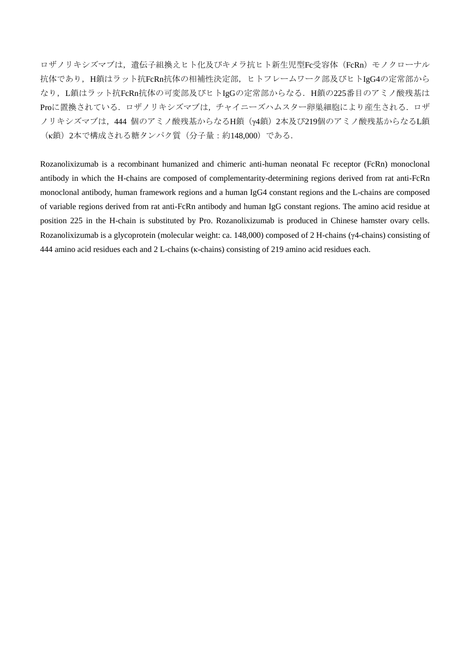ロザノリキシズマブは、遺伝子組換えヒト化及びキメラ抗ヒト新生児型Fc受容体 (FcRn) モノクローナル 抗体であり、H鎖はラット抗FcRn抗体の相補性決定部、ヒトフレームワーク部及びヒトIgG4の定常部から なり、L鎖はラット抗FcRn抗体の可変部及びヒトIgGの定常部からなる. H鎖の225番目のアミノ酸残基は Proに置換されている. ロザノリキシズマブは、チャイニーズハムスター卵巣細胞により産生される. ロザ ノリキシズマブは,444 個のアミノ酸残基からなるH鎖(γ4鎖)2本及び219個のアミノ酸残基からなるL鎖 (κ鎖)2本で構成される糖タンパク質(分子量:約148,000)である.

Rozanolixizumab is a recombinant humanized and chimeric anti-human neonatal Fc receptor (FcRn) monoclonal antibody in which the H-chains are composed of complementarity-determining regions derived from rat anti-FcRn monoclonal antibody, human framework regions and a human IgG4 constant regions and the L-chains are composed of variable regions derived from rat anti-FcRn antibody and human IgG constant regions. The amino acid residue at position 225 in the H-chain is substituted by Pro. Rozanolixizumab is produced in Chinese hamster ovary cells. Rozanolixizumab is a glycoprotein (molecular weight: ca. 148,000) composed of 2 H-chains (γ4-chains) consisting of 444 amino acid residues each and 2 L-chains (κ-chains) consisting of 219 amino acid residues each.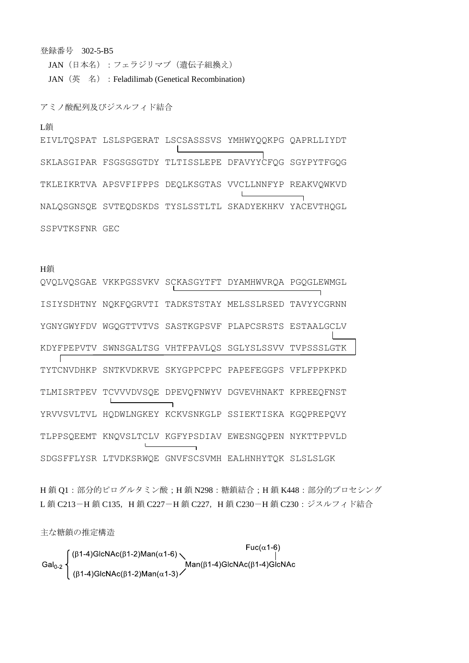JAN (日本名):フェラジリマブ (遺伝子組換え) JAN (英名): Feladilimab (Genetical Recombination)

アミノ酸配列及びジスルフィド結合

## L鎖

EIVLTQSPAT LSLSPGERAT LSCSASSSVS YMHWYQQKPG QAPRLLIYDT SKLASGIPAR FSGSGSGTDY TLTISSLEPE DFAVYYCFOG SGYPYTFGOG TKLEIKRTVA APSVFIFPPS DEQLKSGTAS VVCLLNNFYP REAKVQWKVD NALOSGNSOE SVTEODSKDS TYSLSSTLTL SKADYEKHKV YACEVTHQGL SSPVTKSFNR GEC

#### H鎖

QVQLVQSGAE VKKPGSSVKV SCKASGYTFT DYAMHWVRQA PGQGLEWMGL ISIYSDHTNY NQKFQGRVTI TADKSTSTAY MELSSLRSED TAVYYCGRNN YGNYGWYFDV WGOGTTVTVS SASTKGPSVF PLAPCSRSTS ESTAALGCLV KDYFPEPVTV SWNSGALTSG VHTFPAVLOS SGLYSLSSVV TVPSSSLGTK F TYTCNVDHKP SNTKVDKRVE SKYGPPCPPC PAPEFEGGPS VFLFPPKPKD TLMISRTPEV TCVVVDVSQE DPEVQFNWYV DGVEVHNAKT KPREEQFNST YRVVSVLTVL HODWLNGKEY KCKVSNKGLP SSIEKTISKA KGOPREPOVY TLPPSOEEMT KNOVSLTCLV KGFYPSDIAV EWESNGOPEN NYKTTPPVLD SDGSFFLYSR LTVDKSRWQE GNVFSCSVMH EALHNHYTQK SLSLSLGK

H鎖 O1:部分的ピログルタミン酸: H鎖 N298:糖鎖結合: H鎖 K448:部分的プロセシング L鎖 C213-H鎖 C135, H鎖 C227-H鎖 C227, H鎖 C230-H鎖 C230: ジスルフィド結合

主な糖鎖の推定構造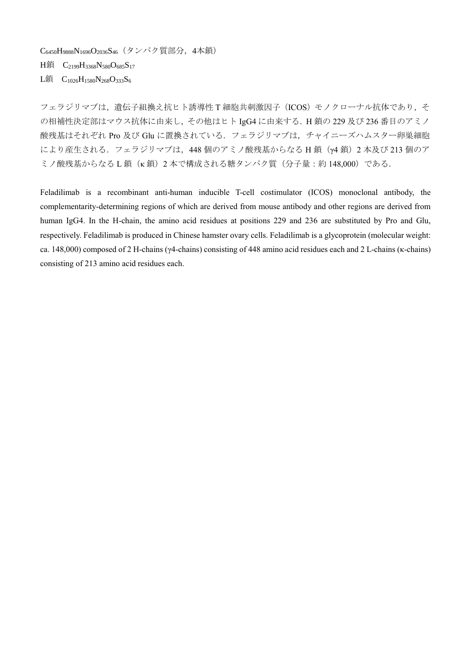C6450H9888N1696O2036S46(タンパク質部分,4本鎖)

H鎖 C<sub>2199</sub>H<sub>3368</sub>N<sub>580</sub>O<sub>685</sub>S<sub>17</sub>

L鎖 C<sub>1026</sub>H<sub>1580</sub>N<sub>268</sub>O<sub>333</sub>S<sub>6</sub>

フェラジリマブは、遺伝子組換え抗ヒト誘導性 T 細胞共刺激因子 (ICOS) モノクローナル抗体であり、そ の相補性決定部はマウス抗体に由来し,その他はヒト IgG4 に由来する.H 鎖の 229 及び 236 番目のアミノ 酸残基はそれぞれ Pro 及び Glu に置換されている. フェラジリマブは、チャイニーズハムスター卵巣細胞 により産生される. フェラジリマブは, 448 個のアミノ酸残基からなる H 鎖 (γ4 鎖) 2 本及び 213 個のア ミノ酸残基からなるL鎖(κ鎖)2本で構成される糖タンパク質(分子量:約148,000)である.

Feladilimab is a recombinant anti-human inducible T-cell costimulator (ICOS) monoclonal antibody, the complementarity-determining regions of which are derived from mouse antibody and other regions are derived from human IgG4. In the H-chain, the amino acid residues at positions 229 and 236 are substituted by Pro and Glu, respectively. Feladilimab is produced in Chinese hamster ovary cells. Feladilimab is a glycoprotein (molecular weight: ca. 148,000) composed of 2 H-chains (γ4-chains) consisting of 448 amino acid residues each and 2 L-chains (κ-chains) consisting of 213 amino acid residues each.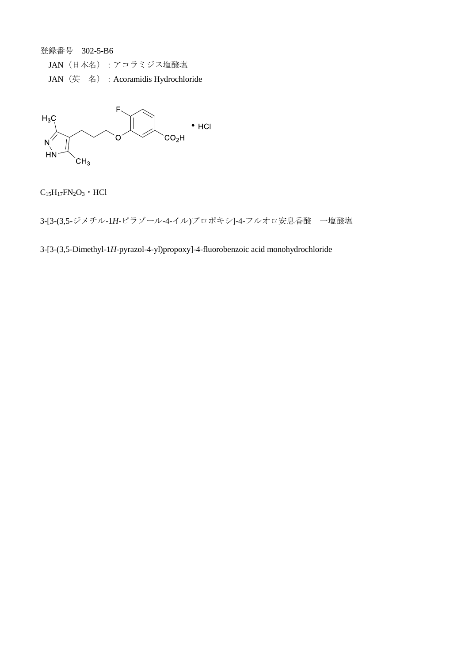JAN (日本名):アコラミジス塩酸塩

JAN(英 名):Acoramidis Hydrochloride



 $\rm{C_{15}H_{17}FN_{2}O_{3}}$   $\cdot$  HCl

3-[3-(3,5-ジメチル-1*H*-ピラゾール-4-イル)プロポキシ]-4-フルオロ安息香酸 一塩酸塩

3-[3-(3,5-Dimethyl-1*H*-pyrazol-4-yl)propoxy]-4-fluorobenzoic acid monohydrochloride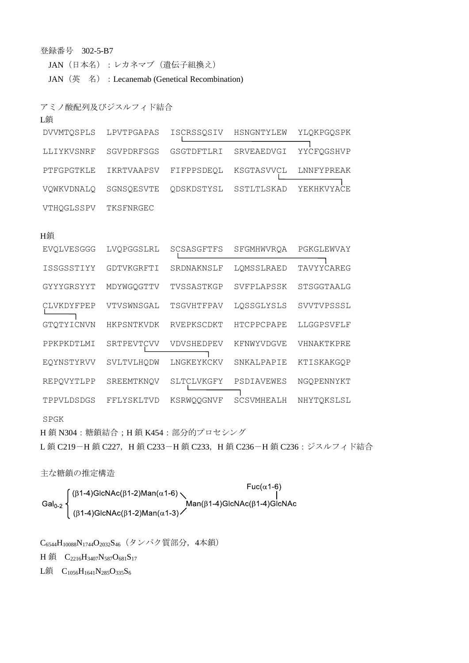JAN(日本名):レカネマブ(遺伝子組換え) JAN (英名) : Lecanemab (Genetical Recombination)

アミノ酸配列及びジスルフィド結合

| DVVMTQSPLS | LPVTPGAPAS | ISCRSSOSIV            | HSNGNTYLEW            | YLQKPGQSPK |
|------------|------------|-----------------------|-----------------------|------------|
| LLIYKVSNRF | SGVPDRFSGS | GSGTDFTLRI            | SRVEAEDVGI            | YYCFOGSHVP |
| PTFGPGTKLE | IKRTVAAPSV | FIFPPSDEQL            | KSGTASVVCL LNNFYPREAK |            |
| VOWKVDNALO | SGNSOESVTE | QDSKDSTYSL SSTLTLSKAD |                       | YEKHKVYACE |
| VTHOGLSSPV | TKSFNRGEC  |                       |                       |            |

#### H鎖

L銷

| EVOLVESGGG | LVOPGGSLRL | SCSASGFTFS | SFGMHWVROA        | PGKGLEWVAY |
|------------|------------|------------|-------------------|------------|
| ISSGSSTIYY | GDTVKGRFTI | SRDNAKNSLF | LOMSSLRAED        | TAVYYCAREG |
| GYYYGRSYYT | MDYWGQGTTV | TVSSASTKGP | SVFPLAPSSK        | STSGGTAALG |
| CLVKDYFPEP | VTVSWNSGAL | TSGVHTFPAV | LOSSGLYSLS        | SVVTVPSSSL |
| GTOTYICNVN | HKPSNTKVDK | RVEPKSCDKT | <b>HTCPPCPAPE</b> | LLGGPSVFLF |
| PPKPKDTLMI | SRTPEVTCVV | VDVSHEDPEV | KFNWYVDGVE        | VHNAKTKPRE |
| EOYNSTYRVV | SVLTVLHODW | LNGKEYKCKV | SNKALPAPIE        | KTISKAKGOP |
| REPOVYTLPP | SREEMTKNOV | SLTCLVKGFY | PSDIAVEWES        | NGOPENNYKT |
| TPPVLDSDGS | FFLYSKLTVD | KSRWOOGNVF | SCSVMHEALH        | NHYTQKSLSL |
|            |            |            |                   |            |

SPGK

H 鎖 N304:糖鎖結合;H 鎖 K454:部分的プロセシング

L鎖 C219-H鎖 C227, H鎖 C233-H鎖 C233, H鎖 C236-H鎖 C236:ジスルフィド結合

主な糖鎖の推定構造<br>
Fuc(α1-6)<br>
Gal<sub>0-2</sub> (<sup>β1-4)</sup>GlcNAc(β1-2)Man(α1-6)<br>
Man(β1-4)GlcNAc(β1-4)GlcNAc(β1-2)Man(α1-3)

C6544H10088N1744O2032S46(タンパク質部分,4本鎖)

H 鎖 C<sub>2216</sub>H<sub>3407</sub>N<sub>587</sub>O<sub>681</sub>S<sub>17</sub>

L鎖 C<sub>1056</sub>H<sub>1641</sub>N<sub>285</sub>O<sub>335</sub>S<sub>6</sub>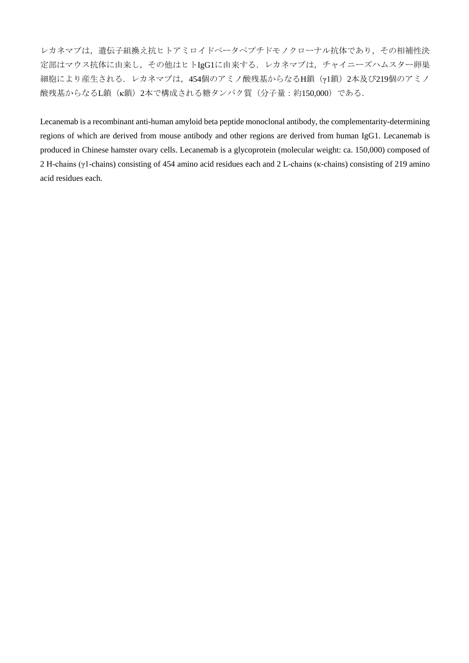レカネマブは,遺伝子組換え抗ヒトアミロイドベータペプチドモノクローナル抗体であり,その相補性決 定部はマウス抗体に由来し,その他はヒトIgG1に由来する.レカネマブは,チャイニーズハムスター卵巣 細胞により産生される.レカネマブは,454個のアミノ酸残基からなるH鎖(γ1鎖)2本及び219個のアミノ 酸残基からなるL鎖(κ鎖)2本で構成される糖タンパク質(分子量:約150,000)である.

Lecanemab is a recombinant anti-human amyloid beta peptide monoclonal antibody, the complementarity-determining regions of which are derived from mouse antibody and other regions are derived from human IgG1. Lecanemab is produced in Chinese hamster ovary cells. Lecanemab is a glycoprotein (molecular weight: ca. 150,000) composed of 2 H-chains (γ1-chains) consisting of 454 amino acid residues each and 2 L-chains (κ-chains) consisting of 219 amino acid residues each.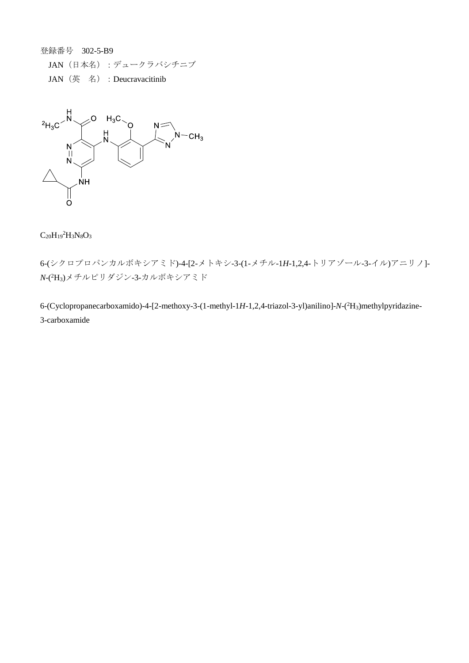JAN(日本名):デュークラバシチニブ JAN (英名): Deucravacitinib



# $C_{20}H_{19}{}^{2}H_{3}N_{8}O_{3}$

6-(シクロプロパンカルボキシアミド)-4-[2-メトキシ-3-(1-メチル-1*H*-1,2,4-トリアゾール-3-イル)アニリノ]- *N*-( <sup>2</sup>H3)メチルピリダジン-3-カルボキシアミド

6-(Cyclopropanecarboxamido)-4-[2-methoxy-3-(1-methyl-1*H*-1,2,4-triazol-3-yl)anilino]-*N*-( <sup>2</sup>H3)methylpyridazine-3-carboxamide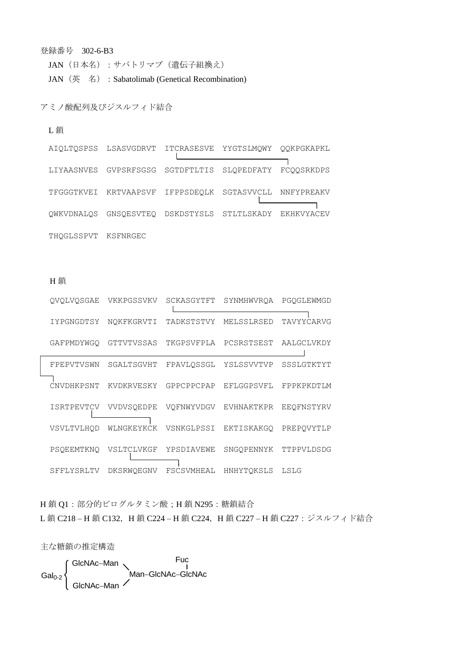JAN (日本名): サバトリマブ (遺伝子組換え) JAN (英名): Sabatolimab (Genetical Recombination)

## アミノ酸配列及びジスルフィド結合

### L鎖

|                     | AIOLTOSPSS LSASVGDRVT ITCRASESVE YYGTSLMOWY OOKPGKAPKL |  |  |
|---------------------|--------------------------------------------------------|--|--|
|                     | LIYAASNVES GVPSRFSGSG SGTDFTLTIS SLOPEDFATY FCOOSRKDPS |  |  |
|                     | TFGGGTKVEI KRTVAAPSVF IFPPSDEOLK SGTASVVCLL NNFYPREAKV |  |  |
|                     | OWKVDNALOS GNSOESVTEO DSKDSTYSLS STLTLSKADY EKHKVYACEV |  |  |
| THOGLSSPVT KSFNRGEC |                                                        |  |  |

H鎖

| OVOLVOSGAE        | VKKPGSSVKV | SCKASGYTFT | SYNMHWVROA            | PGOGLEWMGD |
|-------------------|------------|------------|-----------------------|------------|
| IYPGNGDTSY        | NOKFKGRVTI | TADKSTSTVY | MELSSLRSED            | TAVYYCARVG |
| GAFPMDYWGO        | GTTVTVSSAS | TKGPSVFPLA | PCSRSTSEST            | AALGCLVKDY |
| FPEPVTVSWN        | SGALTSGVHT | FPAVLOSSGL | YSLSSVVTVP            | SSSLGTKTYT |
| CNVDHKPSNT        | KVDKRVESKY | GPPCPPCPAP | EFLGGPSVFL            | FPPKPKDTLM |
| <b>ISRTPEVTCV</b> | VVDVSOEDPE | VOFNWYVDGV | EVHNAKTKPR            | EEQFNSTYRV |
| VSVLTVLHQD        | WLNGKEYKCK | VSNKGLPSSI | EKTISKAKGO            | PREPOVYTLP |
| PSOEEMTKNO        | VSLTCLVKGF | YPSDIAVEWE | SNGOPENNYK TTPPVLDSDG |            |
| SFFLYSRLTV        | DKSRWOEGNV | FSCSVMHEAL | HNHYTOKSLS            | LSLG       |

H鎖 Q1:部分的ピログルタミン酸; H鎖 N295:糖鎖結合 L鎖 C218-H鎖 C132, H鎖 C224-H鎖 C224, H鎖 C227-H鎖 C227: ジスルフィド結合

主な糖鎖の推定構造

GlcNAc-Man<br>Man-GlcNAc-GlcNAc<br>GlcNAc-Man Gal<sub>0-2</sub>